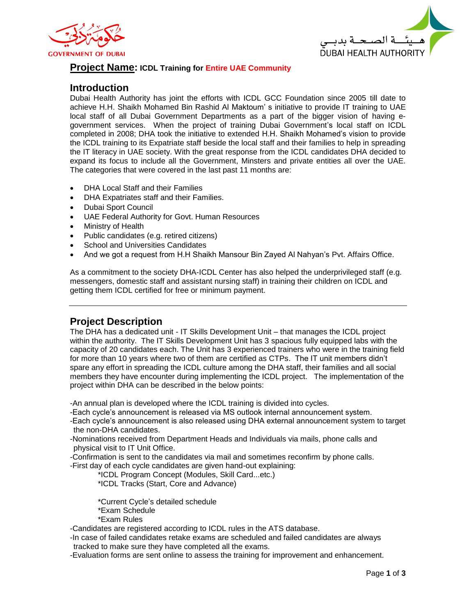



## **Project Name: ICDL Training for Entire UAE Community**

## **Introduction**

Dubai Health Authority has joint the efforts with ICDL GCC Foundation since 2005 till date to achieve H.H. Shaikh Mohamed Bin Rashid Al Maktoum' s initiative to provide IT training to UAE local staff of all Dubai Government Departments as a part of the bigger vision of having egovernment services. When the project of training Dubai Government's local staff on ICDL completed in 2008; DHA took the initiative to extended H.H. Shaikh Mohamed's vision to provide the ICDL training to its Expatriate staff beside the local staff and their families to help in spreading the IT literacy in UAE society. With the great response from the ICDL candidates DHA decided to expand its focus to include all the Government, Minsters and private entities all over the UAE. The categories that were covered in the last past 11 months are:

- DHA Local Staff and their Families
- DHA Expatriates staff and their Families.
- Dubai Sport Council
- UAE Federal Authority for Govt. Human Resources
- Ministry of Health
- Public candidates (e.g. retired citizens)
- School and Universities Candidates
- And we got a request from H.H Shaikh Mansour Bin Zayed Al Nahyan's Pvt. Affairs Office.

As a commitment to the society DHA-ICDL Center has also helped the underprivileged staff (e.g. messengers, domestic staff and assistant nursing staff) in training their children on ICDL and getting them ICDL certified for free or minimum payment.

# **Project Description**

The DHA has a dedicated unit - IT Skills Development Unit – that manages the ICDL project within the authority. The IT Skills Development Unit has 3 spacious fully equipped labs with the capacity of 20 candidates each. The Unit has 3 experienced trainers who were in the training field for more than 10 years where two of them are certified as CTPs. The IT unit members didn't spare any effort in spreading the ICDL culture among the DHA staff, their families and all social members they have encounter during implementing the ICDL project. The implementation of the project within DHA can be described in the below points:

-An annual plan is developed where the ICDL training is divided into cycles.

-Each cycle's announcement is released via MS outlook internal announcement system.

-Each cycle's announcement is also released using DHA external announcement system to target the non-DHA candidates.

-Nominations received from Department Heads and Individuals via mails, phone calls and physical visit to IT Unit Office.

-Confirmation is sent to the candidates via mail and sometimes reconfirm by phone calls.

-First day of each cycle candidates are given hand-out explaining:

\*ICDL Program Concept (Modules, Skill Card...etc.)

\*ICDL Tracks (Start, Core and Advance)

\*Current Cycle's detailed schedule \*Exam Schedule \*Exam Rules

-Candidates are registered according to ICDL rules in the ATS database.

-In case of failed candidates retake exams are scheduled and failed candidates are always tracked to make sure they have completed all the exams.

-Evaluation forms are sent online to assess the training for improvement and enhancement.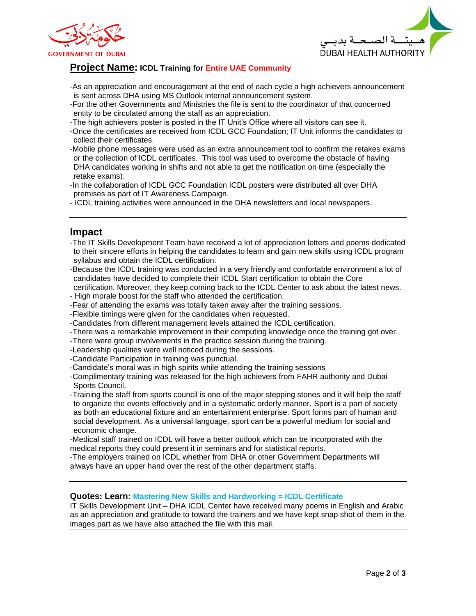



# **Project Name: ICDL Training for Entire UAE Community**

- -As an appreciation and encouragement at the end of each cycle a high achievers announcement is sent across DHA using MS Outlook internal announcement system.
- -For the other Governments and Ministries the file is sent to the coordinator of that concerned entity to be circulated among the staff as an appreciation.
- -The high achievers poster is posted in the IT Unit's Office where all visitors can see it.
- -Once the certificates are received from ICDL GCC Foundation; IT Unit informs the candidates to collect their certificates.
- -Mobile phone messages were used as an extra announcement tool to confirm the retakes exams or the collection of ICDL certificates. This tool was used to overcome the obstacle of having DHA candidates working in shifts and not able to get the notification on time (especially the retake exams).
- -In the collaboration of ICDL GCC Foundation ICDL posters were distributed all over DHA premises as part of IT Awareness Campaign.
- ICDL training activities were announced in the DHA newsletters and local newspapers.

### **Impact**

- -The IT Skills Development Team have received a lot of appreciation letters and poems dedicated to their sincere efforts in helping the candidates to learn and gain new skills using ICDL program syllabus and obtain the ICDL certification.
- -Because the ICDL training was conducted in a very friendly and confortable environment a lot of candidates have decided to complete their ICDL Start certification to obtain the Core
- certification. Moreover, they keep coming back to the ICDL Center to ask about the latest news. - High morale boost for the staff who attended the certification.
- -Fear of attending the exams was totally taken away after the training sessions.
- -Flexible timings were given for the candidates when requested.
- -Candidates from different management levels attained the ICDL certification.
- -There was a remarkable improvement in their computing knowledge once the training got over.
- -There were group involvements in the practice session during the training.
- -Leadership qualities were well noticed during the sessions.
- -Candidate Participation in training was punctual.
- -Candidate's moral was in high spirits while attending the training sessions
- -Complimentary training was released for the high achievers from FAHR authority and Dubai Sports Council.
- -Training the staff from sports council is one of the major stepping stones and it will help the staff to organize the events effectively and in a systematic orderly manner. Sport is a part of society as both an educational fixture and an entertainment enterprise. Sport forms part of human and social development. As a universal language, sport can be a powerful medium for social and economic change.
- -Medical staff trained on ICDL will have a better outlook which can be incorporated with the medical reports they could present it in seminars and for statistical reports.
- -The employers trained on ICDL whether from DHA or other Government Departments will always have an upper hand over the rest of the other department staffs.

#### **Quotes: Learn: Mastering New Skills and Hardworking = ICDL Certificate**

IT Skills Development Unit – DHA ICDL Center have received many poems in English and Arabic as an appreciation and gratitude to toward the trainers and we have kept snap shot of them in the images part as we have also attached the file with this mail.